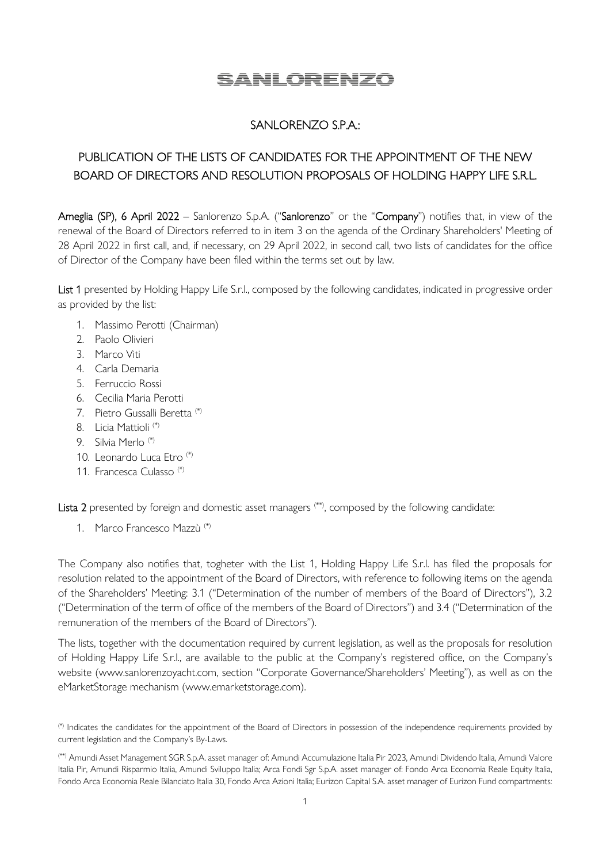# SANLORENZO

### SANLORENZO S.P.A.:

## PUBLICATION OF THE LISTS OF CANDIDATES FOR THE APPOINTMENT OF THE NEW BOARD OF DIRECTORS AND RESOLUTION PROPOSALS OF HOLDING HAPPY LIFE S.R.L.

Ameglia (SP), 6 April 2022 – Sanlorenzo S.p.A. ("Sanlorenzo" or the "Company") notifies that, in view of the renewal of the Board of Directors referred to in item 3 on the agenda of the Ordinary Shareholders' Meeting of 28 April 2022 in first call, and, if necessary, on 29 April 2022, in second call, two lists of candidates for the office of Director of the Company have been filed within the terms set out by law.

List 1 presented by Holding Happy Life S.r.l., composed by the following candidates, indicated in progressive order as provided by the list:

- 1. Massimo Perotti (Chairman)
- 2. Paolo Olivieri
- 3. Marco Viti
- 4. Carla Demaria
- 5. Ferruccio Rossi
- 6. Cecilia Maria Perotti
- 7. Pietro Gussalli Beretta (\*)
- 8. Licia Mattioli (\*)
- 9. Silvia Merlo (\*)
- 10. Leonardo Luca Etro (\*)
- 11. Francesca Culasso (\*)

Lista 2 presented by foreign and domestic asset managers (\*\*), composed by the following candidate:

1. Marco Francesco Mazzù (\*)

The Company also notifies that, togheter with the List 1, Holding Happy Life S.r.l. has filed the proposals for resolution related to the appointment of the Board of Directors, with reference to following items on the agenda of the Shareholders' Meeting: 3.1 ("Determination of the number of members of the Board of Directors"), 3.2 ("Determination of the term of office of the members of the Board of Directors") and 3.4 ("Determination of the remuneration of the members of the Board of Directors").

The lists, together with the documentation required by current legislation, as well as the proposals for resolution of Holding Happy Life S.r.l., are available to the public at the Company's registered office, on the Company's website (www.sanlorenzoyacht.com, section "Corporate Governance/Shareholders' Meeting"), as well as on the eMarketStorage mechanism (www.emarketstorage.com).

<sup>(\*)</sup> Indicates the candidates for the appointment of the Board of Directors in possession of the independence requirements provided by current legislation and the Company's By-Laws.

<sup>(\*\*)</sup> Amundi Asset Management SGR S.p.A. asset manager of: Amundi Accumulazione Italia Pir 2023, Amundi Dividendo Italia, Amundi Valore Italia Pir, Amundi Risparmio Italia, Amundi Sviluppo Italia; Arca Fondi Sgr S.p.A. asset manager of: Fondo Arca Economia Reale Equity Italia, Fondo Arca Economia Reale Bilanciato Italia 30, Fondo Arca Azioni Italia; Eurizon Capital S.A. asset manager of Eurizon Fund compartments: